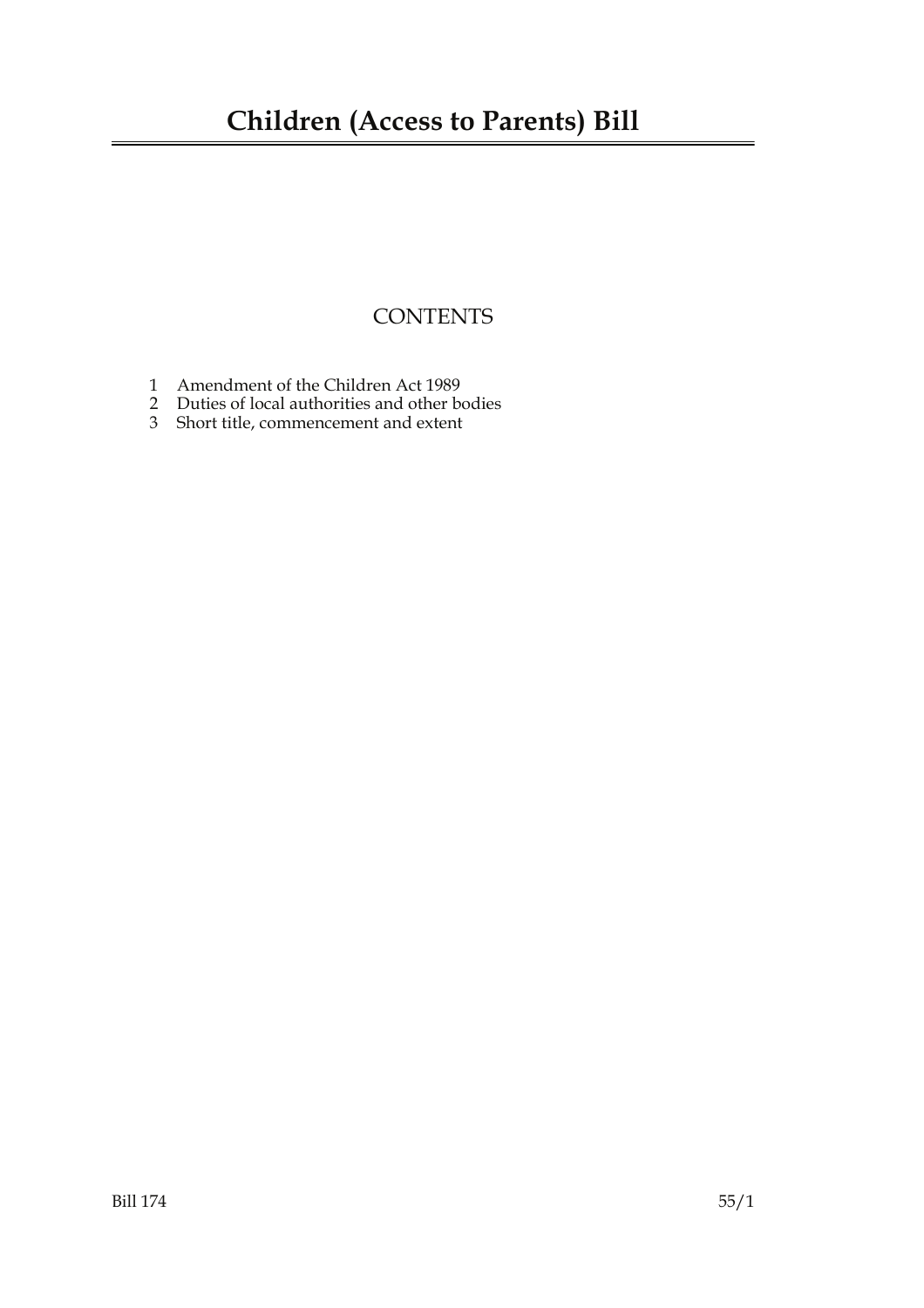### **CONTENTS**

- 1 Amendment of the Children Act 1989
- 2 Duties of local authorities and other bodies
- 3 Short title, commencement and extent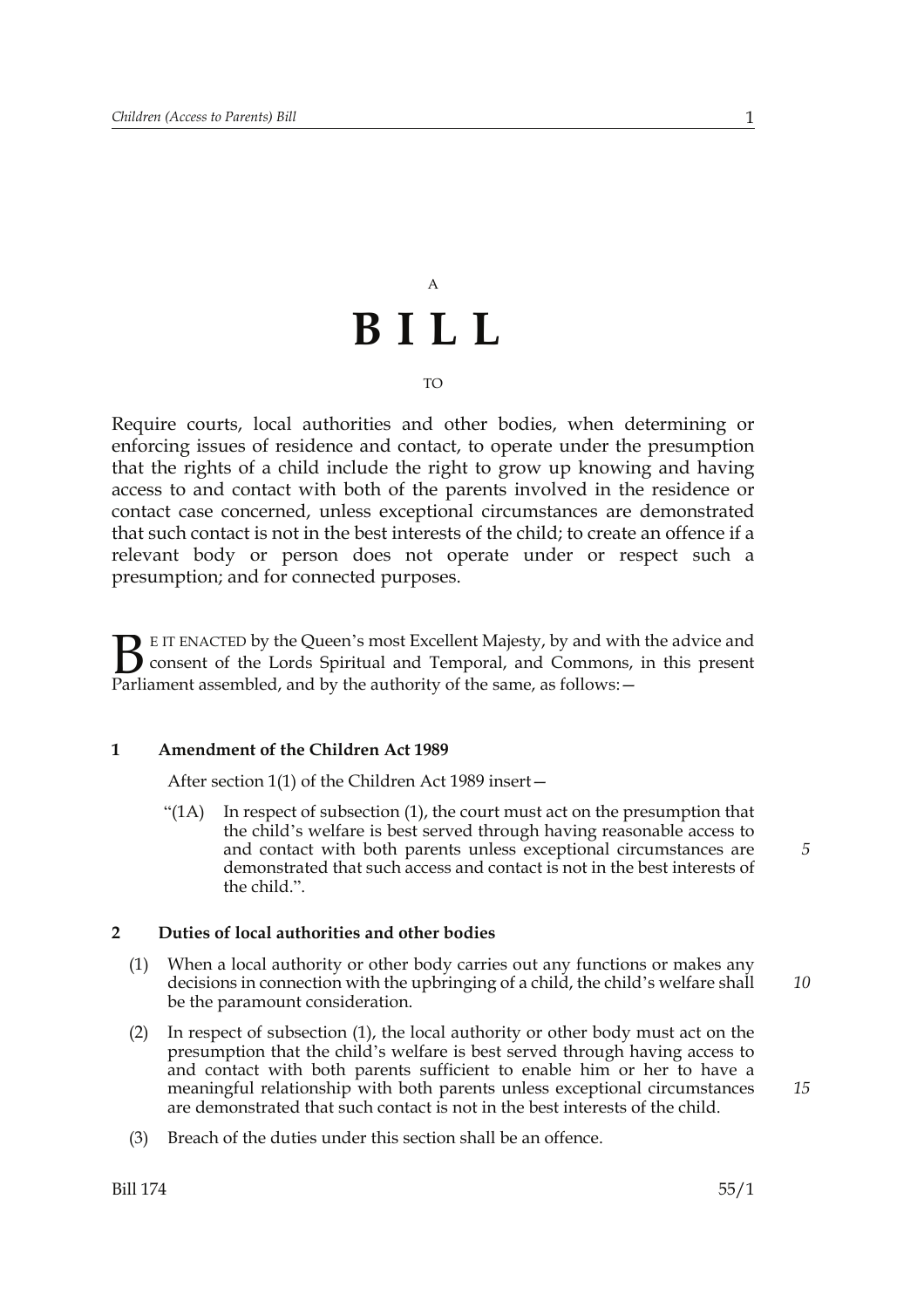# A **BILL**

#### TO

Require courts, local authorities and other bodies, when determining or enforcing issues of residence and contact, to operate under the presumption that the rights of a child include the right to grow up knowing and having access to and contact with both of the parents involved in the residence or contact case concerned, unless exceptional circumstances are demonstrated that such contact is not in the best interests of the child; to create an offence if a relevant body or person does not operate under or respect such a presumption; and for connected purposes.

E IT ENACTED by the Queen's most Excellent Majesty, by and with the advice and consent of the Lords Spiritual and Temporal, and Commons, in this present Parliament assembled, and by the authority of the same, as follows: - $B_{\text{p}}$ 

#### **1 Amendment of the Children Act 1989**

After section 1(1) of the Children Act 1989 insert—

 $\mathcal{L}(1)$  In respect of subsection (1), the court must act on the presumption that the child's welfare is best served through having reasonable access to and contact with both parents unless exceptional circumstances are demonstrated that such access and contact is not in the best interests of the child.".

#### **2 Duties of local authorities and other bodies**

- (1) When a local authority or other body carries out any functions or makes any decisions in connection with the upbringing of a child, the child's welfare shall be the paramount consideration.
- (2) In respect of subsection (1), the local authority or other body must act on the presumption that the child's welfare is best served through having access to and contact with both parents sufficient to enable him or her to have a meaningful relationship with both parents unless exceptional circumstances are demonstrated that such contact is not in the best interests of the child.
- (3) Breach of the duties under this section shall be an offence.

*10*

*15*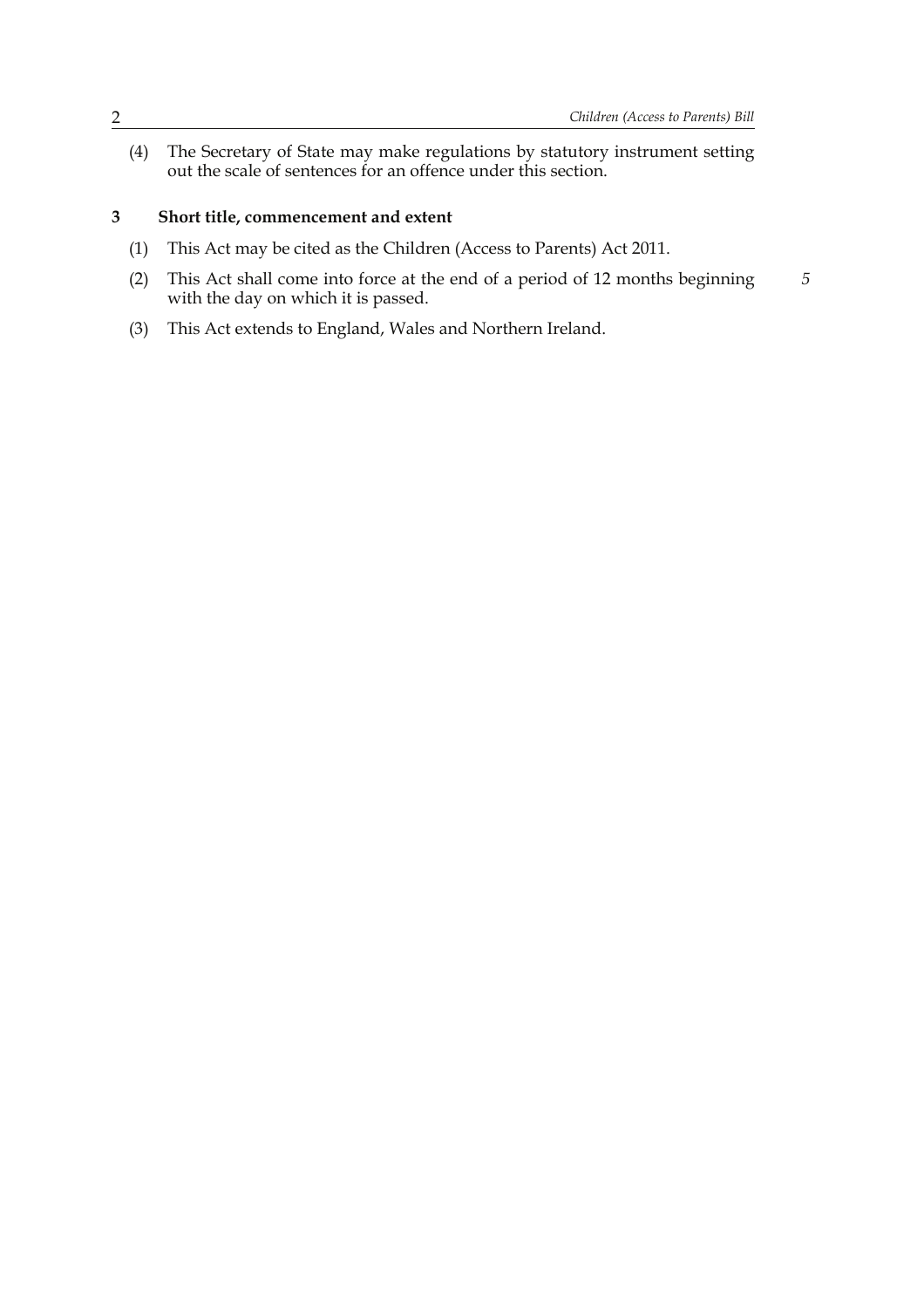*5*

(4) The Secretary of State may make regulations by statutory instrument setting out the scale of sentences for an offence under this section.

#### **3 Short title, commencement and extent**

- (1) This Act may be cited as the Children (Access to Parents) Act 2011.
- (2) This Act shall come into force at the end of a period of 12 months beginning with the day on which it is passed.
- (3) This Act extends to England, Wales and Northern Ireland.